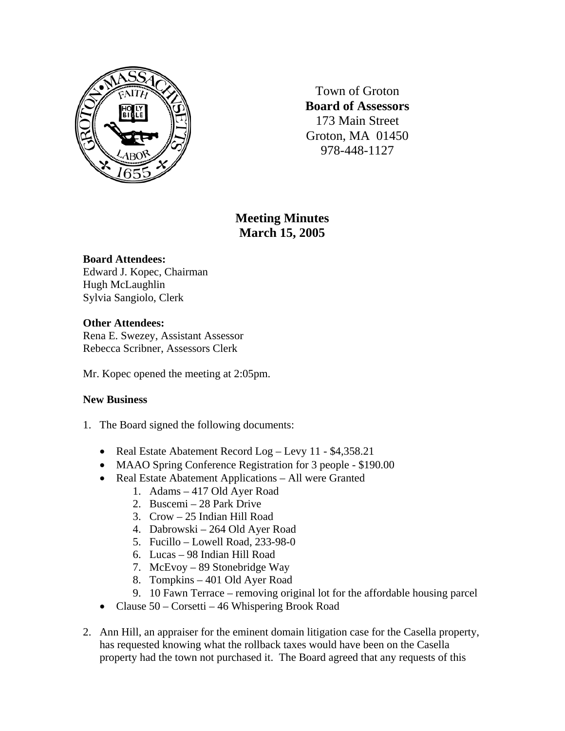

Town of Groton **Board of Assessors**  173 Main Street Groton, MA 01450 978-448-1127

# **Meeting Minutes March 15, 2005**

## **Board Attendees:**

Edward J. Kopec, Chairman Hugh McLaughlin Sylvia Sangiolo, Clerk

## **Other Attendees:**

Rena E. Swezey, Assistant Assessor Rebecca Scribner, Assessors Clerk

Mr. Kopec opened the meeting at 2:05pm.

## **New Business**

- 1. The Board signed the following documents:
	- Real Estate Abatement Record Log Levy 11 \$4,358.21
	- MAAO Spring Conference Registration for 3 people \$190.00
	- Real Estate Abatement Applications All were Granted
		- 1. Adams 417 Old Ayer Road
		- 2. Buscemi 28 Park Drive
		- 3. Crow 25 Indian Hill Road
		- 4. Dabrowski 264 Old Ayer Road
		- 5. Fucillo Lowell Road, 233-98-0
		- 6. Lucas 98 Indian Hill Road
		- 7. McEvoy 89 Stonebridge Way
		- 8. Tompkins 401 Old Ayer Road
		- 9. 10 Fawn Terrace removing original lot for the affordable housing parcel
	- Clause 50 Corsetti 46 Whispering Brook Road
- 2. Ann Hill, an appraiser for the eminent domain litigation case for the Casella property, has requested knowing what the rollback taxes would have been on the Casella property had the town not purchased it. The Board agreed that any requests of this